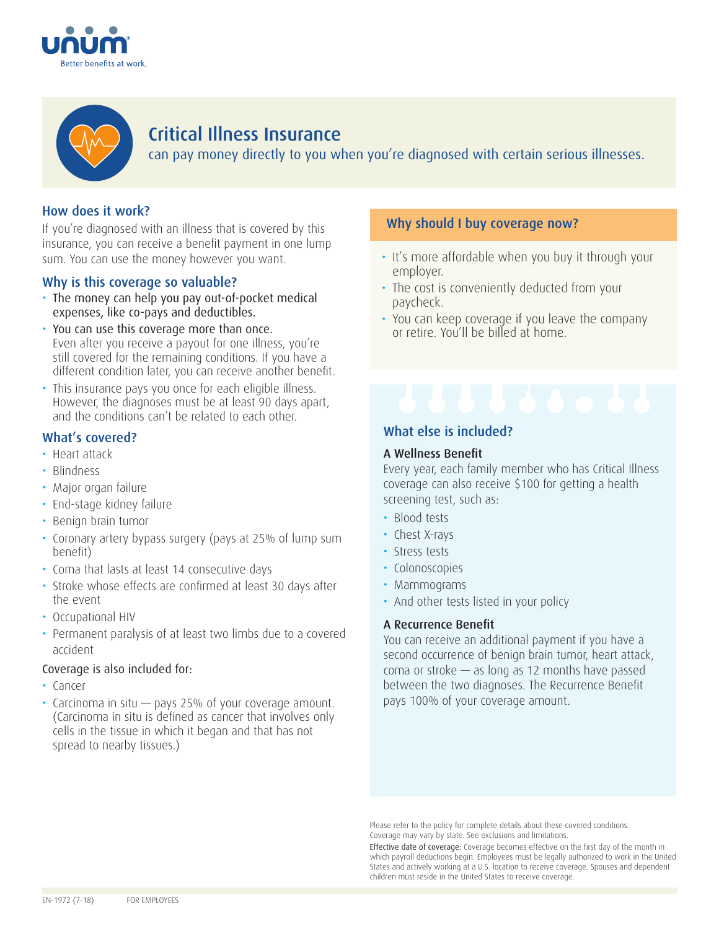



## Critical Illness Insurance

can pay money directly to you when you're diagnosed with certain serious illnesses.

### How does it work?

If you're diagnosed with an illness that is covered by this insurance, you can receive a benefit payment in one lump sum. You can use the money however you want.

### Why is this coverage so valuable?

- The money can help you pay out-of-pocket medical expenses, like co-pays and deductibles.
- You can use this coverage more than once. Even after you receive a payout for one illness, you're still covered for the remaining conditions. If you have a different condition later, you can receive another benefit.
- This insurance pays you once for each eligible illness. However, the diagnoses must be at least 90 days apart, and the conditions can't be related to each other.

### What's covered?

- Heart attack
- Blindness
- Major organ failure
- End-stage kidney failure
- Benign brain tumor
- Coronary artery bypass surgery (pays at 25% of lump sum benefit)
- Coma that lasts at least 14 consecutive days
- Stroke whose effects are confirmed at least 30 days after the event
- Occupational HIV
- Permanent paralysis of at least two limbs due to a covered accident

#### Coverage is also included for:

- Cancer
- Carcinoma in situ pays 25% of your coverage amount. (Carcinoma in situ is defined as cancer that involves only cells in the tissue in which it began and that has not spread to nearby tissues.)

### Why should I buy coverage now?

- It's more affordable when you buy it through your employer.
- The cost is conveniently deducted from your paycheck.
- You can keep coverage if you leave the company or retire. You'll be billed at home.

# What else is included?

#### A Wellness Benefit

Every year, each family member who has Critical Illness coverage can also receive \$100 for getting a health screening test, such as:

- Blood tests
- Chest X-rays
- Stress tests
- Colonoscopies
- Mammograms
- And other tests listed in your policy

#### A Recurrence Benefit

You can receive an additional payment if you have a second occurrence of benign brain tumor, heart attack, coma or stroke — as long as 12 months have passed between the two diagnoses. The Recurrence Benefit pays 100% of your coverage amount.

Please refer to the policy for complete details about these covered conditions. Coverage may vary by state. See exclusions and limitations.

Effective date of coverage: Coverage becomes effective on the first day of the month in which payroll deductions begin. Employees must be legally authorized to work in the United States and actively working at a U.S. location to receive coverage. Spouses and dependent children must reside in the United States to receive coverage.